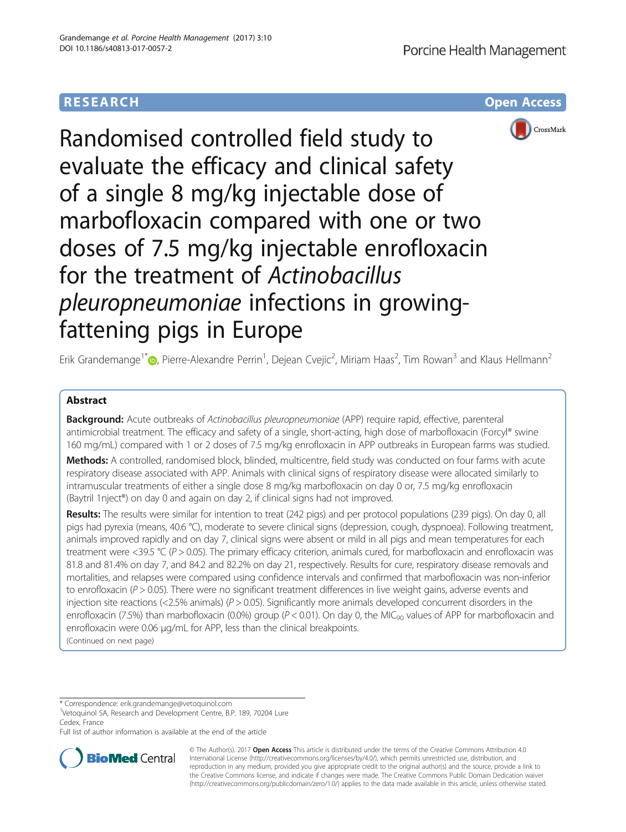# **RESEARCH RESEARCH** *CHECK <b>CHECK*



Randomised controlled field study to evaluate the efficacy and clinical safety of a single 8 mg/kg injectable dose of marbofloxacin compared with one or two doses of 7.5 mg/kg injectable enrofloxacin for the treatment of Actinobacillus pleuropneumoniae infections in growingfattening pigs in Europe

Erik Grandemange<sup>1\*</sup>�[,](http://orcid.org/0000-0002-1768-5128) Pierre-Alexandre Perrin<sup>1</sup>, Dejean Cvejic<sup>2</sup>, Miriam Haas<sup>2</sup>, Tim Rowan<sup>3</sup> and Klaus Hellmann<sup>2</sup>

## Abstract

Background: Acute outbreaks of Actinobacillus pleuropneumoniae (APP) require rapid, effective, parenteral antimicrobial treatment. The efficacy and safety of a single, short-acting, high dose of marbofloxacin (Forcyl® swine 160 mg/mL) compared with 1 or 2 doses of 7.5 mg/kg enrofloxacin in APP outbreaks in European farms was studied.

Methods: A controlled, randomised block, blinded, multicentre, field study was conducted on four farms with acute respiratory disease associated with APP. Animals with clinical signs of respiratory disease were allocated similarly to intramuscular treatments of either a single dose 8 mg/kg marbofloxacin on day 0 or, 7.5 mg/kg enrofloxacin (Baytril 1nject®) on day 0 and again on day 2, if clinical signs had not improved.

Results: The results were similar for intention to treat (242 pigs) and per protocol populations (239 pigs). On day 0, all pigs had pyrexia (means, 40.6 °C), moderate to severe clinical signs (depression, cough, dyspnoea). Following treatment, animals improved rapidly and on day 7, clinical signs were absent or mild in all pigs and mean temperatures for each treatment were <39.5 °C ( $P > 0.05$ ). The primary efficacy criterion, animals cured, for marbofloxacin and enrofloxacin was 81.8 and 81.4% on day 7, and 84.2 and 82.2% on day 21, respectively. Results for cure, respiratory disease removals and mortalities, and relapses were compared using confidence intervals and confirmed that marbofloxacin was non-inferior to enrofloxacin ( $P > 0.05$ ). There were no significant treatment differences in live weight gains, adverse events and injection site reactions (<2.5% animals) ( $P > 0.05$ ). Significantly more animals developed concurrent disorders in the enrofloxacin (7.5%) than marbofloxacin (0.0%) group ( $P < 0.01$ ). On day 0, the MIC<sub>90</sub> values of APP for marbofloxacin and enrofloxacin were 0.06 μg/mL for APP, less than the clinical breakpoints. (Continued on next page)

\* Correspondence: [erik.grandemange@vetoquinol.com](mailto:erik.grandemange@vetoquinol.com) <sup>1</sup>

<sup>1</sup>Vetoquinol SA, Research and Development Centre, B.P. 189, 70204 Lure Cedex, France

Full list of author information is available at the end of the article



© The Author(s). 2017 **Open Access** This article is distributed under the terms of the Creative Commons Attribution 4.0 International License [\(http://creativecommons.org/licenses/by/4.0/](http://creativecommons.org/licenses/by/4.0/)), which permits unrestricted use, distribution, and reproduction in any medium, provided you give appropriate credit to the original author(s) and the source, provide a link to the Creative Commons license, and indicate if changes were made. The Creative Commons Public Domain Dedication waiver [\(http://creativecommons.org/publicdomain/zero/1.0/](http://creativecommons.org/publicdomain/zero/1.0/)) applies to the data made available in this article, unless otherwise stated.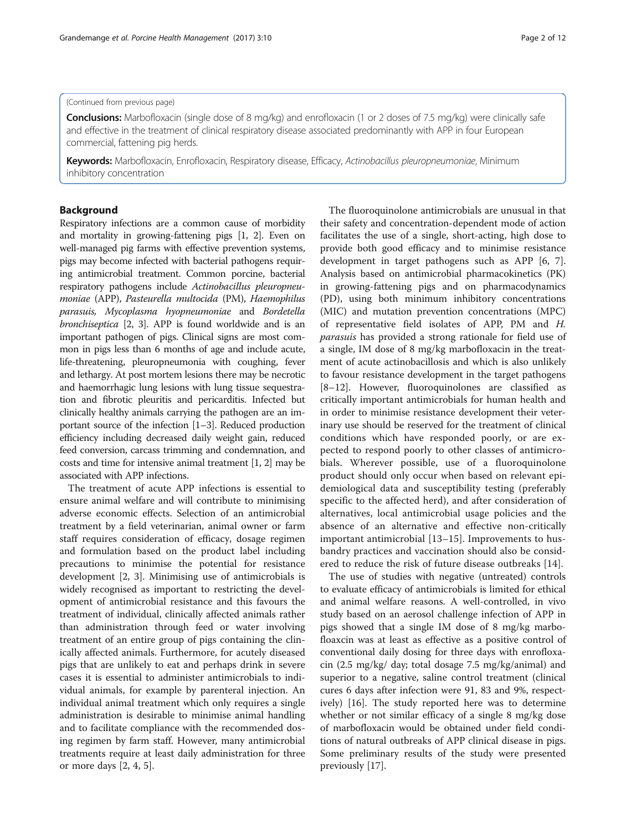#### (Continued from previous page)

Conclusions: Marbofloxacin (single dose of 8 mg/kg) and enrofloxacin (1 or 2 doses of 7.5 mg/kg) were clinically safe and effective in the treatment of clinical respiratory disease associated predominantly with APP in four European commercial, fattening pig herds.

Keywords: Marbofloxacin, Enrofloxacin, Respiratory disease, Efficacy, Actinobacillus pleuropneumoniae, Minimum inhibitory concentration

## Background

Respiratory infections are a common cause of morbidity and mortality in growing-fattening pigs [\[1](#page-10-0), [2\]](#page-10-0). Even on well-managed pig farms with effective prevention systems, pigs may become infected with bacterial pathogens requiring antimicrobial treatment. Common porcine, bacterial respiratory pathogens include Actinobacillus pleuropneumoniae (APP), Pasteurella multocida (PM), Haemophilus parasuis, Mycoplasma hyopneumoniae and Bordetella bronchiseptica [\[2](#page-10-0), [3](#page-10-0)]. APP is found worldwide and is an important pathogen of pigs. Clinical signs are most common in pigs less than 6 months of age and include acute, life-threatening, pleuropneumonia with coughing, fever and lethargy. At post mortem lesions there may be necrotic and haemorrhagic lung lesions with lung tissue sequestration and fibrotic pleuritis and pericarditis. Infected but clinically healthy animals carrying the pathogen are an important source of the infection [\[1](#page-10-0)–[3](#page-10-0)]. Reduced production efficiency including decreased daily weight gain, reduced feed conversion, carcass trimming and condemnation, and costs and time for intensive animal treatment [\[1, 2](#page-10-0)] may be associated with APP infections.

The treatment of acute APP infections is essential to ensure animal welfare and will contribute to minimising adverse economic effects. Selection of an antimicrobial treatment by a field veterinarian, animal owner or farm staff requires consideration of efficacy, dosage regimen and formulation based on the product label including precautions to minimise the potential for resistance development [[2](#page-10-0), [3\]](#page-10-0). Minimising use of antimicrobials is widely recognised as important to restricting the development of antimicrobial resistance and this favours the treatment of individual, clinically affected animals rather than administration through feed or water involving treatment of an entire group of pigs containing the clinically affected animals. Furthermore, for acutely diseased pigs that are unlikely to eat and perhaps drink in severe cases it is essential to administer antimicrobials to individual animals, for example by parenteral injection. An individual animal treatment which only requires a single administration is desirable to minimise animal handling and to facilitate compliance with the recommended dosing regimen by farm staff. However, many antimicrobial treatments require at least daily administration for three or more days [[2, 4, 5\]](#page-10-0).

The fluoroquinolone antimicrobials are unusual in that their safety and concentration-dependent mode of action facilitates the use of a single, short-acting, high dose to provide both good efficacy and to minimise resistance development in target pathogens such as APP [[6, 7](#page-10-0)]. Analysis based on antimicrobial pharmacokinetics (PK) in growing-fattening pigs and on pharmacodynamics (PD), using both minimum inhibitory concentrations (MIC) and mutation prevention concentrations (MPC) of representative field isolates of APP, PM and H. parasuis has provided a strong rationale for field use of a single, IM dose of 8 mg/kg marbofloxacin in the treatment of acute actinobacillosis and which is also unlikely to favour resistance development in the target pathogens [[8](#page-10-0)–[12\]](#page-10-0). However, fluoroquinolones are classified as critically important antimicrobials for human health and in order to minimise resistance development their veterinary use should be reserved for the treatment of clinical conditions which have responded poorly, or are expected to respond poorly to other classes of antimicrobials. Wherever possible, use of a fluoroquinolone product should only occur when based on relevant epidemiological data and susceptibility testing (preferably specific to the affected herd), and after consideration of alternatives, local antimicrobial usage policies and the absence of an alternative and effective non-critically important antimicrobial [[13](#page-10-0)–[15\]](#page-10-0). Improvements to husbandry practices and vaccination should also be considered to reduce the risk of future disease outbreaks [[14\]](#page-10-0).

The use of studies with negative (untreated) controls to evaluate efficacy of antimicrobials is limited for ethical and animal welfare reasons. A well-controlled, in vivo study based on an aerosol challenge infection of APP in pigs showed that a single IM dose of 8 mg/kg marbofloaxcin was at least as effective as a positive control of conventional daily dosing for three days with enrofloxacin (2.5 mg/kg/ day; total dosage 7.5 mg/kg/animal) and superior to a negative, saline control treatment (clinical cures 6 days after infection were 91, 83 and 9%, respectively) [\[16](#page-10-0)]. The study reported here was to determine whether or not similar efficacy of a single 8 mg/kg dose of marbofloxacin would be obtained under field conditions of natural outbreaks of APP clinical disease in pigs. Some preliminary results of the study were presented previously [\[17](#page-10-0)].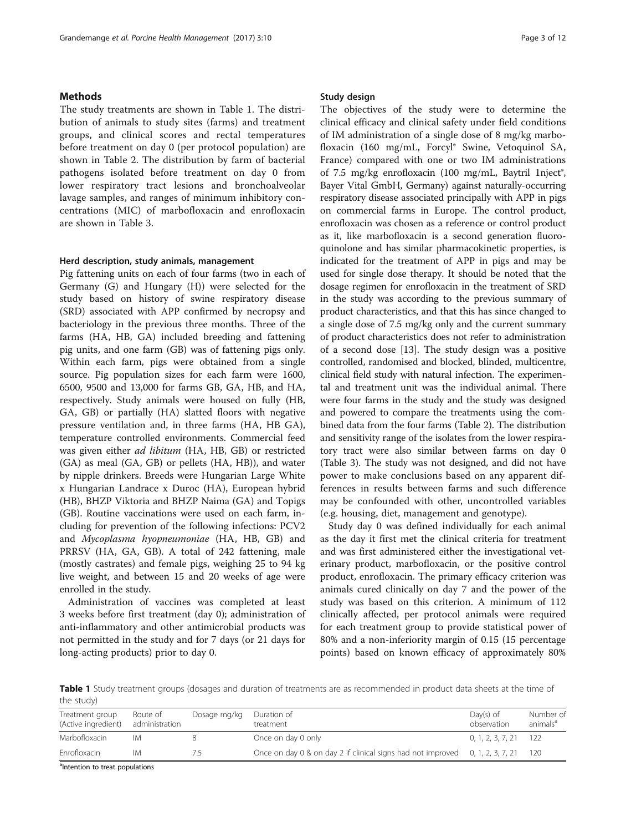## <span id="page-2-0"></span>Methods

The study treatments are shown in Table 1. The distribution of animals to study sites (farms) and treatment groups, and clinical scores and rectal temperatures before treatment on day 0 (per protocol population) are shown in Table [2.](#page-3-0) The distribution by farm of bacterial pathogens isolated before treatment on day 0 from lower respiratory tract lesions and bronchoalveolar lavage samples, and ranges of minimum inhibitory concentrations (MIC) of marbofloxacin and enrofloxacin are shown in Table [3.](#page-4-0)

## Herd description, study animals, management

Pig fattening units on each of four farms (two in each of Germany (G) and Hungary (H)) were selected for the study based on history of swine respiratory disease (SRD) associated with APP confirmed by necropsy and bacteriology in the previous three months. Three of the farms (HA, HB, GA) included breeding and fattening pig units, and one farm (GB) was of fattening pigs only. Within each farm, pigs were obtained from a single source. Pig population sizes for each farm were 1600, 6500, 9500 and 13,000 for farms GB, GA, HB, and HA, respectively. Study animals were housed on fully (HB, GA, GB) or partially (HA) slatted floors with negative pressure ventilation and, in three farms (HA, HB GA), temperature controlled environments. Commercial feed was given either ad libitum (HA, HB, GB) or restricted (GA) as meal (GA, GB) or pellets (HA, HB)), and water by nipple drinkers. Breeds were Hungarian Large White x Hungarian Landrace x Duroc (HA), European hybrid (HB), BHZP Viktoria and BHZP Naima (GA) and Topigs (GB). Routine vaccinations were used on each farm, including for prevention of the following infections: PCV2 and Mycoplasma hyopneumoniae (HA, HB, GB) and PRRSV (HA, GA, GB). A total of 242 fattening, male (mostly castrates) and female pigs, weighing 25 to 94 kg live weight, and between 15 and 20 weeks of age were enrolled in the study.

Administration of vaccines was completed at least 3 weeks before first treatment (day 0); administration of anti-inflammatory and other antimicrobial products was not permitted in the study and for 7 days (or 21 days for long-acting products) prior to day 0.

### Study design

The objectives of the study were to determine the clinical efficacy and clinical safety under field conditions of IM administration of a single dose of 8 mg/kg marbofloxacin (160 mg/mL, Forcyl® Swine, Vetoquinol SA, France) compared with one or two IM administrations of 7.5 mg/kg enrofloxacin (100 mg/mL, Baytril 1nject®, Bayer Vital GmbH, Germany) against naturally-occurring respiratory disease associated principally with APP in pigs on commercial farms in Europe. The control product, enrofloxacin was chosen as a reference or control product as it, like marbofloxacin is a second generation fluoroquinolone and has similar pharmacokinetic properties, is indicated for the treatment of APP in pigs and may be used for single dose therapy. It should be noted that the dosage regimen for enrofloxacin in the treatment of SRD in the study was according to the previous summary of product characteristics, and that this has since changed to a single dose of 7.5 mg/kg only and the current summary of product characteristics does not refer to administration of a second dose [\[13\]](#page-10-0). The study design was a positive controlled, randomised and blocked, blinded, multicentre, clinical field study with natural infection. The experimental and treatment unit was the individual animal. There were four farms in the study and the study was designed and powered to compare the treatments using the combined data from the four farms (Table [2](#page-3-0)). The distribution and sensitivity range of the isolates from the lower respiratory tract were also similar between farms on day 0 (Table [3](#page-4-0)). The study was not designed, and did not have power to make conclusions based on any apparent differences in results between farms and such difference may be confounded with other, uncontrolled variables (e.g. housing, diet, management and genotype).

Study day 0 was defined individually for each animal as the day it first met the clinical criteria for treatment and was first administered either the investigational veterinary product, marbofloxacin, or the positive control product, enrofloxacin. The primary efficacy criterion was animals cured clinically on day 7 and the power of the study was based on this criterion. A minimum of 112 clinically affected, per protocol animals were required for each treatment group to provide statistical power of 80% and a non-inferiority margin of 0.15 (15 percentage points) based on known efficacy of approximately 80%

Table 1 Study treatment groups (dosages and duration of treatments are as recommended in product data sheets at the time of the study)

| $\cdots$ $\cdots$                      |                            |              |                                                             |                            |                                   |
|----------------------------------------|----------------------------|--------------|-------------------------------------------------------------|----------------------------|-----------------------------------|
| Treatment group<br>(Active ingredient) | Route of<br>administration | Dosage mg/kg | Duration of<br>treatment                                    | $Day(s)$ of<br>observation | Number of<br>animals <sup>a</sup> |
| Marbofloxacin                          | IM                         |              | Once on day 0 only                                          | $0, 1, 2, 3, 7, 21$ 122    |                                   |
| Enrofloxacin                           | IM                         | /5           | Once on day 0 & on day 2 if clinical signs had not improved | 0, 1, 2, 3, 7, 21          | - 120                             |
|                                        |                            |              |                                                             |                            |                                   |

<sup>a</sup>Intention to treat populations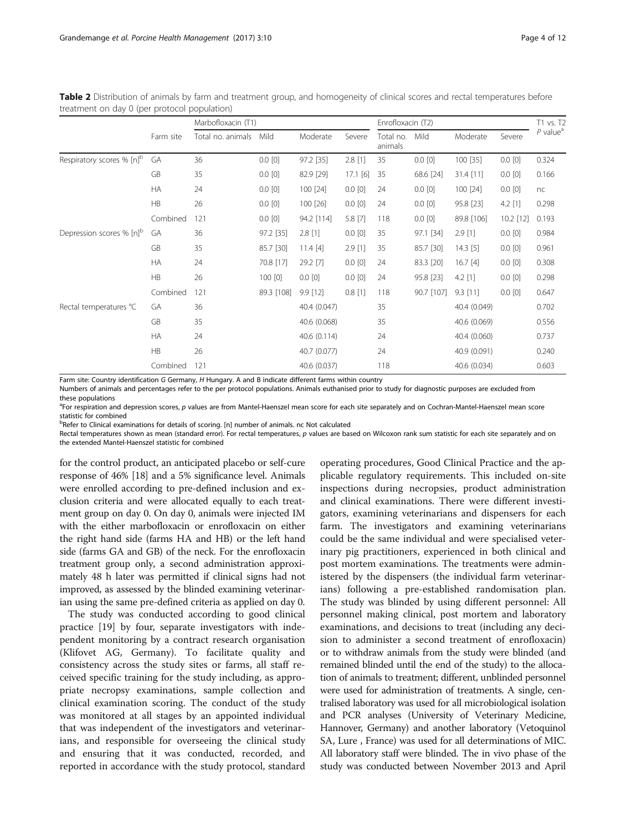|                                      | Farm site | Marbofloxacin (T1) | Enrofloxacin (T2) |              |             |                      | T1 vs. T2   |              |             |                                     |
|--------------------------------------|-----------|--------------------|-------------------|--------------|-------------|----------------------|-------------|--------------|-------------|-------------------------------------|
|                                      |           | Total no. animals  | Mild              | Moderate     | Severe      | Total no.<br>animals | Mild        | Moderate     | Severe      | $P$ value <sup><math>a</math></sup> |
| Respiratory scores % [n]b            | GA        | 36                 | $0.0$ $[0]$       | 97.2 [35]    | $2.8$ [1]   | 35                   | $0.0$ $[0]$ | 100 [35]     | $0.0$ $[0]$ | 0.324                               |
|                                      | GB        | 35                 | $0.0$ $[0]$       | 82.9 [29]    | 17.1[6]     | 35                   | 68.6 [24]   | 31.4 [11]    | 0.0 [0]     | 0.166                               |
|                                      | <b>HA</b> | 24                 | $0.0$ $[0]$       | 100 [24]     | $0.0$ $[0]$ | 24                   | $0.0$ $[0]$ | 100 [24]     | $0.0$ $[0]$ | nc                                  |
|                                      | HB        | 26                 | $0.0$ $[0]$       | 100 [26]     | $0.0$ $[0]$ | 24                   | $0.0$ $[0]$ | 95.8 [23]    | $4.2$ [1]   | 0.298                               |
|                                      | Combined  | 121                | $0.0$ $[0]$       | 94.2 [114]   | 5.8 [7]     | 118                  | $0.0$ $[0]$ | 89.8 [106]   | 10.2 [12]   | 0.193                               |
| Depression scores % [n] <sup>b</sup> | GA        | 36                 | 97.2 [35]         | $2.8$ [1]    | $0.0$ $[0]$ | 35                   | 97.1 [34]   | $2.9$ [1]    | $0.0$ $[0]$ | 0.984                               |
|                                      | GB        | 35                 | 85.7 [30]         | 11.4[4]      | $2.9$ [1]   | 35                   | 85.7 [30]   | $14.3$ [5]   | $0.0$ $[0]$ | 0.961                               |
|                                      | HA        | 24                 | 70.8 [17]         | 29.2 [7]     | $0.0$ $[0]$ | 24                   | 83.3 [20]   | $16.7$ [4]   | $0.0$ $[0]$ | 0.308                               |
|                                      | <b>HB</b> | 26                 | 100[0]            | $0.0$ $[0]$  | $0.0$ $[0]$ | 24                   | 95.8 [23]   | $4.2$ [1]    | $0.0$ $[0]$ | 0.298                               |
|                                      | Combined  | 121                | 89.3 [108]        | $9.9$ [12]   | $0.8$ [1]   | 118                  | 90.7 [107]  | $9.3$ [11]   | $0.0$ $[0]$ | 0.647                               |
| Rectal temperatures °C               | GA        | 36                 |                   | 40.4 (0.047) |             | 35                   |             | 40.4 (0.049) |             | 0.702                               |
|                                      | GB        | 35                 |                   | 40.6 (0.068) |             | 35                   |             | 40.6 (0.069) |             | 0.556                               |
|                                      | <b>HA</b> | 24                 |                   | 40.6 (0.114) |             | 24                   |             | 40.4 (0.060) |             | 0.737                               |
|                                      | <b>HB</b> | 26                 |                   | 40.7 (0.077) |             | 24                   |             | 40.9 (0.091) |             | 0.240                               |
|                                      | Combined  | 121                |                   | 40.6 (0.037) |             | 118                  |             | 40.6 (0.034) |             | 0.603                               |

<span id="page-3-0"></span>Table 2 Distribution of animals by farm and treatment group, and homogeneity of clinical scores and rectal temperatures before treatment on day 0 (per protocol population)

Farm site: Country identification G Germany, H Hungary. A and B indicate different farms within country

Numbers of animals and percentages refer to the per protocol populations. Animals euthanised prior to study for diagnostic purposes are excluded from these populations

<sup>a</sup>For respiration and depression scores, p values are from Mantel-Haenszel mean score for each site separately and on Cochran-Mantel-Haenszel mean score<br>statistic for combined statistic for combined

<sup>b</sup>Refer to Clinical examinations for details of scoring. [n] number of animals. nc Not calculated

Rectal temperatures shown as mean (standard error). For rectal temperatures, p values are based on Wilcoxon rank sum statistic for each site separately and on the extended Mantel-Haenszel statistic for combined

for the control product, an anticipated placebo or self-cure response of 46% [[18](#page-10-0)] and a 5% significance level. Animals were enrolled according to pre-defined inclusion and exclusion criteria and were allocated equally to each treatment group on day 0. On day 0, animals were injected IM with the either marbofloxacin or enrofloxacin on either the right hand side (farms HA and HB) or the left hand side (farms GA and GB) of the neck. For the enrofloxacin treatment group only, a second administration approximately 48 h later was permitted if clinical signs had not improved, as assessed by the blinded examining veterinarian using the same pre-defined criteria as applied on day 0.

The study was conducted according to good clinical practice [[19\]](#page-10-0) by four, separate investigators with independent monitoring by a contract research organisation (Klifovet AG, Germany). To facilitate quality and consistency across the study sites or farms, all staff received specific training for the study including, as appropriate necropsy examinations, sample collection and clinical examination scoring. The conduct of the study was monitored at all stages by an appointed individual that was independent of the investigators and veterinarians, and responsible for overseeing the clinical study and ensuring that it was conducted, recorded, and reported in accordance with the study protocol, standard operating procedures, Good Clinical Practice and the applicable regulatory requirements. This included on-site inspections during necropsies, product administration and clinical examinations. There were different investigators, examining veterinarians and dispensers for each farm. The investigators and examining veterinarians could be the same individual and were specialised veterinary pig practitioners, experienced in both clinical and post mortem examinations. The treatments were administered by the dispensers (the individual farm veterinarians) following a pre-established randomisation plan. The study was blinded by using different personnel: All personnel making clinical, post mortem and laboratory examinations, and decisions to treat (including any decision to administer a second treatment of enrofloxacin) or to withdraw animals from the study were blinded (and remained blinded until the end of the study) to the allocation of animals to treatment; different, unblinded personnel were used for administration of treatments. A single, centralised laboratory was used for all microbiological isolation and PCR analyses (University of Veterinary Medicine, Hannover, Germany) and another laboratory (Vetoquinol SA, Lure , France) was used for all determinations of MIC. All laboratory staff were blinded. The in vivo phase of the study was conducted between November 2013 and April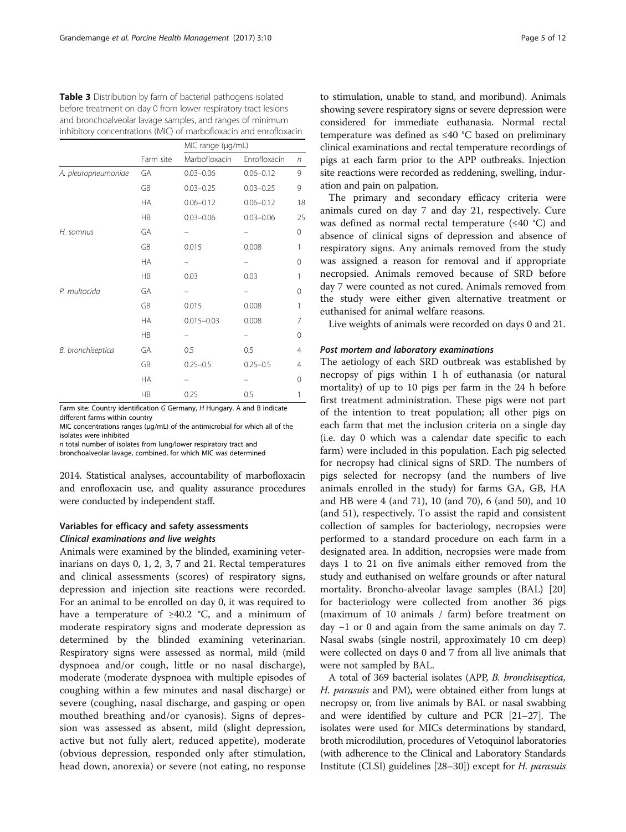<span id="page-4-0"></span>

| <b>Table 3</b> Distribution by farm of bacterial pathogens isolated |
|---------------------------------------------------------------------|
| before treatment on day 0 from lower respiratory tract lesions      |
| and bronchoalveolar lavage samples, and ranges of minimum           |
| inhibitory concentrations (MIC) of marbofloxacin and enrofloxacin   |

|                     |           | MIC range (µg/mL) |               |    |  |  |  |
|---------------------|-----------|-------------------|---------------|----|--|--|--|
|                     | Farm site | Marbofloxacin     | Enrofloxacin  | n  |  |  |  |
| A. pleuropneumoniae | GA        | $0.03 - 0.06$     | $0.06 - 0.12$ | 9  |  |  |  |
|                     | GB        | $0.03 - 0.25$     | $0.03 - 0.25$ | 9  |  |  |  |
|                     | <b>HA</b> | $0.06 - 0.12$     | $0.06 - 0.12$ | 18 |  |  |  |
|                     | <b>HB</b> | $0.03 - 0.06$     | $0.03 - 0.06$ | 25 |  |  |  |
| H. somnus           | GА        |                   |               | 0  |  |  |  |
|                     | GB        | 0.015             | 0.008         | 1  |  |  |  |
|                     | <b>HA</b> |                   |               | 0  |  |  |  |
|                     | <b>HB</b> | 0.03              | 0.03          | 1  |  |  |  |
| P. multocida        | GA        |                   |               | 0  |  |  |  |
|                     | GB        | 0.015             | 0.008         | 1  |  |  |  |
|                     | <b>HA</b> | $0.015 - 0.03$    | 0.008         | 7  |  |  |  |
|                     | HB        |                   |               | 0  |  |  |  |
| B. bronchiseptica   | GА        | 0.5               | 0.5           | 4  |  |  |  |
|                     | GB        | $0.25 - 0.5$      | $0.25 - 0.5$  | 4  |  |  |  |
|                     | <b>HA</b> |                   |               | 0  |  |  |  |
|                     | <b>HB</b> | 0.25              | 0.5           | 1  |  |  |  |

Farm site: Country identification G Germany, H Hungary. A and B indicate different farms within country

MIC concentrations ranges (μg/mL) of the antimicrobial for which all of the isolates were inhibited

n total number of isolates from lung/lower respiratory tract and bronchoalveolar lavage, combined, for which MIC was determined

2014. Statistical analyses, accountability of marbofloxacin

and enrofloxacin use, and quality assurance procedures were conducted by independent staff.

## Variables for efficacy and safety assessments Clinical examinations and live weights

Animals were examined by the blinded, examining veterinarians on days 0, 1, 2, 3, 7 and 21. Rectal temperatures and clinical assessments (scores) of respiratory signs, depression and injection site reactions were recorded. For an animal to be enrolled on day 0, it was required to have a temperature of ≥40.2 °C, and a minimum of moderate respiratory signs and moderate depression as determined by the blinded examining veterinarian. Respiratory signs were assessed as normal, mild (mild dyspnoea and/or cough, little or no nasal discharge), moderate (moderate dyspnoea with multiple episodes of coughing within a few minutes and nasal discharge) or severe (coughing, nasal discharge, and gasping or open mouthed breathing and/or cyanosis). Signs of depression was assessed as absent, mild (slight depression, active but not fully alert, reduced appetite), moderate (obvious depression, responded only after stimulation, head down, anorexia) or severe (not eating, no response

to stimulation, unable to stand, and moribund). Animals showing severe respiratory signs or severe depression were considered for immediate euthanasia. Normal rectal temperature was defined as ≤40 °C based on preliminary clinical examinations and rectal temperature recordings of pigs at each farm prior to the APP outbreaks. Injection site reactions were recorded as reddening, swelling, induration and pain on palpation.

The primary and secondary efficacy criteria were animals cured on day 7 and day 21, respectively. Cure was defined as normal rectal temperature (≤40 °C) and absence of clinical signs of depression and absence of respiratory signs. Any animals removed from the study was assigned a reason for removal and if appropriate necropsied. Animals removed because of SRD before day 7 were counted as not cured. Animals removed from the study were either given alternative treatment or euthanised for animal welfare reasons.

Live weights of animals were recorded on days 0 and 21.

## Post mortem and laboratory examinations

The aetiology of each SRD outbreak was established by necropsy of pigs within 1 h of euthanasia (or natural mortality) of up to 10 pigs per farm in the 24 h before first treatment administration. These pigs were not part of the intention to treat population; all other pigs on each farm that met the inclusion criteria on a single day (i.e. day 0 which was a calendar date specific to each farm) were included in this population. Each pig selected for necropsy had clinical signs of SRD. The numbers of pigs selected for necropsy (and the numbers of live animals enrolled in the study) for farms GA, GB, HA and HB were 4 (and 71), 10 (and 70), 6 (and 50), and 10 (and 51), respectively. To assist the rapid and consistent collection of samples for bacteriology, necropsies were performed to a standard procedure on each farm in a designated area. In addition, necropsies were made from days 1 to 21 on five animals either removed from the study and euthanised on welfare grounds or after natural mortality. Broncho-alveolar lavage samples (BAL) [[20](#page-11-0)] for bacteriology were collected from another 36 pigs (maximum of 10 animals / farm) before treatment on day −1 or 0 and again from the same animals on day 7. Nasal swabs (single nostril, approximately 10 cm deep) were collected on days 0 and 7 from all live animals that were not sampled by BAL.

A total of 369 bacterial isolates (APP, B. bronchiseptica, H. parasuis and PM), were obtained either from lungs at necropsy or, from live animals by BAL or nasal swabbing and were identified by culture and PCR [\[21](#page-11-0)–[27](#page-11-0)]. The isolates were used for MICs determinations by standard, broth microdilution, procedures of Vetoquinol laboratories (with adherence to the Clinical and Laboratory Standards Institute (CLSI) guidelines [[28](#page-11-0)–[30\]](#page-11-0)) except for H. parasuis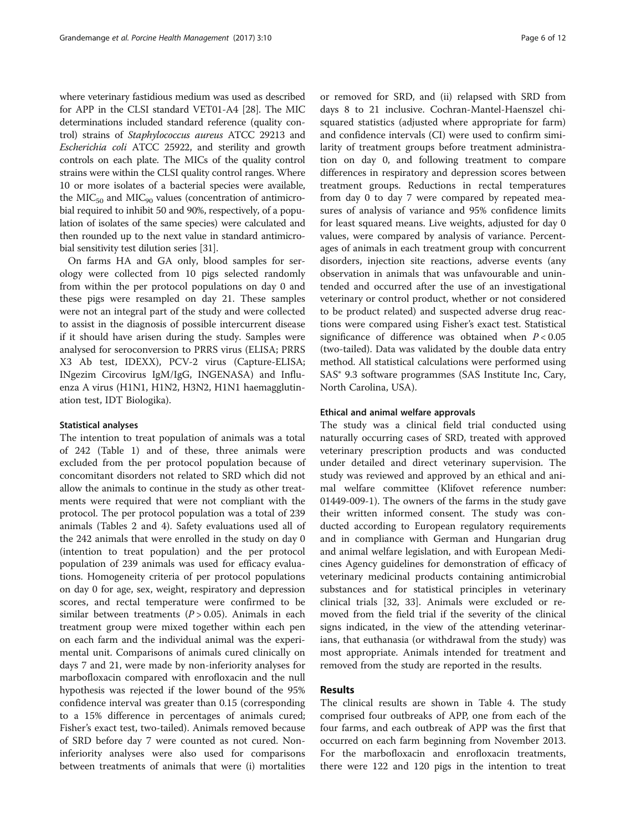where veterinary fastidious medium was used as described for APP in the CLSI standard VET01-A4 [[28](#page-11-0)]. The MIC determinations included standard reference (quality control) strains of Staphylococcus aureus ATCC 29213 and Escherichia coli ATCC 25922, and sterility and growth controls on each plate. The MICs of the quality control strains were within the CLSI quality control ranges. Where 10 or more isolates of a bacterial species were available, the MIC<sub>50</sub> and MIC<sub>90</sub> values (concentration of antimicrobial required to inhibit 50 and 90%, respectively, of a population of isolates of the same species) were calculated and then rounded up to the next value in standard antimicrobial sensitivity test dilution series [\[31\]](#page-11-0).

On farms HA and GA only, blood samples for serology were collected from 10 pigs selected randomly from within the per protocol populations on day 0 and these pigs were resampled on day 21. These samples were not an integral part of the study and were collected to assist in the diagnosis of possible intercurrent disease if it should have arisen during the study. Samples were analysed for seroconversion to PRRS virus (ELISA; PRRS X3 Ab test, IDEXX), PCV-2 virus (Capture-ELISA; INgezim Circovirus IgM/IgG, INGENASA) and Influenza A virus (H1N1, H1N2, H3N2, H1N1 haemagglutination test, IDT Biologika).

#### Statistical analyses

The intention to treat population of animals was a total of 242 (Table [1\)](#page-2-0) and of these, three animals were excluded from the per protocol population because of concomitant disorders not related to SRD which did not allow the animals to continue in the study as other treatments were required that were not compliant with the protocol. The per protocol population was a total of 239 animals (Tables [2](#page-3-0) and [4](#page-6-0)). Safety evaluations used all of the 242 animals that were enrolled in the study on day 0 (intention to treat population) and the per protocol population of 239 animals was used for efficacy evaluations. Homogeneity criteria of per protocol populations on day 0 for age, sex, weight, respiratory and depression scores, and rectal temperature were confirmed to be similar between treatments  $(P > 0.05)$ . Animals in each treatment group were mixed together within each pen on each farm and the individual animal was the experimental unit. Comparisons of animals cured clinically on days 7 and 21, were made by non-inferiority analyses for marbofloxacin compared with enrofloxacin and the null hypothesis was rejected if the lower bound of the 95% confidence interval was greater than 0.15 (corresponding to a 15% difference in percentages of animals cured; Fisher's exact test, two-tailed). Animals removed because of SRD before day 7 were counted as not cured. Noninferiority analyses were also used for comparisons between treatments of animals that were (i) mortalities or removed for SRD, and (ii) relapsed with SRD from days 8 to 21 inclusive. Cochran-Mantel-Haenszel chisquared statistics (adjusted where appropriate for farm) and confidence intervals (CI) were used to confirm similarity of treatment groups before treatment administration on day 0, and following treatment to compare differences in respiratory and depression scores between treatment groups. Reductions in rectal temperatures from day 0 to day 7 were compared by repeated measures of analysis of variance and 95% confidence limits for least squared means. Live weights, adjusted for day 0 values, were compared by analysis of variance. Percentages of animals in each treatment group with concurrent disorders, injection site reactions, adverse events (any observation in animals that was unfavourable and unintended and occurred after the use of an investigational veterinary or control product, whether or not considered to be product related) and suspected adverse drug reactions were compared using Fisher's exact test. Statistical significance of difference was obtained when  $P < 0.05$ (two-tailed). Data was validated by the double data entry method. All statistical calculations were performed using SAS® 9.3 software programmes (SAS Institute Inc, Cary, North Carolina, USA).

#### Ethical and animal welfare approvals

The study was a clinical field trial conducted using naturally occurring cases of SRD, treated with approved veterinary prescription products and was conducted under detailed and direct veterinary supervision. The study was reviewed and approved by an ethical and animal welfare committee (Klifovet reference number: 01449-009-1). The owners of the farms in the study gave their written informed consent. The study was conducted according to European regulatory requirements and in compliance with German and Hungarian drug and animal welfare legislation, and with European Medicines Agency guidelines for demonstration of efficacy of veterinary medicinal products containing antimicrobial substances and for statistical principles in veterinary clinical trials [\[32, 33](#page-11-0)]. Animals were excluded or removed from the field trial if the severity of the clinical signs indicated, in the view of the attending veterinarians, that euthanasia (or withdrawal from the study) was most appropriate. Animals intended for treatment and removed from the study are reported in the results.

## Results

The clinical results are shown in Table [4.](#page-6-0) The study comprised four outbreaks of APP, one from each of the four farms, and each outbreak of APP was the first that occurred on each farm beginning from November 2013. For the marbofloxacin and enrofloxacin treatments, there were 122 and 120 pigs in the intention to treat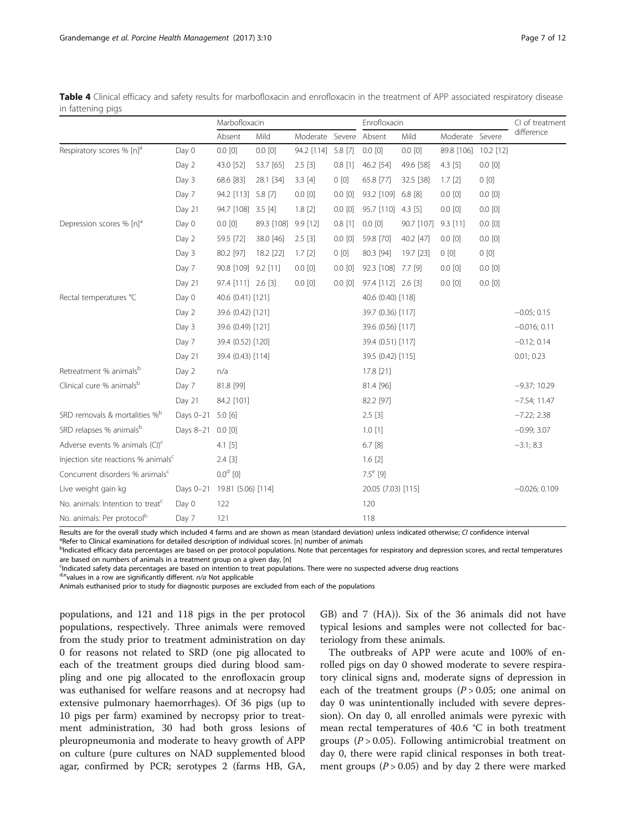|                                                 |                   | Marbofloxacin                |             |                    |             | Enrofloxacin       |             |                 |             | CI of treatment |
|-------------------------------------------------|-------------------|------------------------------|-------------|--------------------|-------------|--------------------|-------------|-----------------|-------------|-----------------|
|                                                 |                   | Absent                       | Mild        | Moderate Severe    |             | Absent             | Mild        | Moderate Severe |             | difference      |
| Respiratory scores % [n] <sup>a</sup>           | Day 0             | $0.0$ $[0]$                  | $0.0$ $[0]$ | 94.2 [114] 5.8 [7] |             | $0.0$ $[0]$        | $0.0$ $[0]$ | 89.8 [106]      | 10.2 [12]   |                 |
|                                                 | Day 2             | 43.0 [52]                    | 53.7 [65]   | $2.5$ [3]          | $0.8$ [1]   | 46.2 [54]          | 49.6 [58]   | $4.3$ [5]       | $0.0$ $[0]$ |                 |
|                                                 | Day 3             | 68.6 [83]                    | 28.1 [34]   | 3.3[4]             | 0[0]        | 65.8 [77]          | 32.5 [38]   | $1.7$ [2]       | 0[0]        |                 |
|                                                 | Day 7             | 94.2 [113] 5.8 [7]           |             | $0.0$ $[0]$        | $0.0$ $[0]$ | 93.2 [109]         | 6.8 [8]     | $0.0$ $[0]$     | $0.0$ $[0]$ |                 |
|                                                 | Day 21            | 94.7 [108] 3.5 [4]           |             | $1.8$ [2]          | $0.0$ $[0]$ | 95.7 [110]         | $4.3$ [5]   | $0.0$ $[0]$     | $0.0$ $[0]$ |                 |
| Depression scores % [n] <sup>a</sup>            | Day 0             | $0.0$ $[0]$                  | 89.3 [108]  | $9.9$ [12]         | $0.8$ [1]   | $0.0$ $[0]$        | 90.7 [107]  | $9.3$ [11]      | $0.0$ $[0]$ |                 |
|                                                 | Day 2             | 59.5 [72]                    | 38.0 [46]   | $2.5$ [3]          | $0.0$ $[0]$ | 59.8 [70]          | 40.2 [47]   | $0.0$ $[0]$     | $0.0$ $[0]$ |                 |
|                                                 | Day 3             | 80.2 [97]                    | 18.2 [22]   | $1.7$ [2]          | 0[0]        | 80.3 [94]          | 19.7 [23]   | 0[0]            | 0[0]        |                 |
|                                                 | Day 7             | 90.8 [109] 9.2 [11]          |             | $0.0$ $[0]$        | $0.0$ $[0]$ | 92.3 [108] 7.7 [9] |             | $0.0$ $[0]$     | $0.0$ $[0]$ |                 |
|                                                 | Day 21            | 97.4 [111] 2.6 [3]           |             | $0.0$ $[0]$        | $0.0$ $[0]$ | 97.4 [112] 2.6 [3] |             | $0.0$ $[0]$     | $0.0$ $[0]$ |                 |
| Rectal temperatures °C                          | Day 0             | 40.6 (0.41) [121]            |             |                    |             | 40.6 (0.40) [118]  |             |                 |             |                 |
|                                                 | Day 2             | 39.6 (0.42) [121]            |             |                    |             | 39.7 (0.36) [117]  |             |                 |             | $-0.05; 0.15$   |
|                                                 | Day 3             | 39.6 (0.49) [121]            |             |                    |             | 39.6 (0.56) [117]  |             |                 |             | $-0.016; 0.11$  |
|                                                 | Day 7             | 39.4 (0.52) [120]            |             |                    |             | 39.4 (0.51) [117]  |             |                 |             | $-0.12; 0.14$   |
|                                                 | Day 21            | 39.4 (0.43) [114]            |             |                    |             | 39.5 (0.42) [115]  |             |                 |             | 0.01; 0.23      |
| Retreatment % animalsb                          | Day 2             | n/a                          |             |                    |             | 17.8 [21]          |             |                 |             |                 |
| Clinical cure % animalsb                        | Day 7             | 81.8 [99]                    |             |                    |             | 81.4 [96]          |             |                 |             | $-9.37;10.29$   |
|                                                 | Day 21            | 84.2 [101]                   |             |                    |             | 82.2 [97]          |             |                 |             | $-7.54; 11.47$  |
| SRD removals & mortalities % <sup>b</sup>       | Days 0-21 5.0 [6] |                              |             |                    |             | $2.5$ [3]          |             |                 |             | $-7.22; 2.38$   |
| SRD relapses % animalsb                         | Days 8-21 0.0 [0] |                              |             |                    |             | $1.0$ [1]          |             |                 |             | $-0.99; 3.07$   |
| Adverse events % animals (CI) <sup>c</sup>      |                   | $4.1$ [5]                    |             |                    |             | $6.7^{[8]}$        |             |                 |             | $-3.1; 8.3$     |
| Injection site reactions % animals <sup>c</sup> |                   | $2.4$ [3]                    |             |                    |             | $1.6$ [2]          |             |                 |             |                 |
| Concurrent disorders % animals <sup>c</sup>     |                   | $0.0^d$ [0]                  |             |                    |             | $7.5^{\circ}$ [9]  |             |                 |             |                 |
| Live weight gain kg                             |                   | Days 0-21 19.81 (5.06) [114] |             |                    |             | 20.05 (7.03) [115] |             |                 |             | $-0.026; 0.109$ |
| No. animals: Intention to treat <sup>c</sup>    | Day 0             | 122                          |             |                    |             | 120                |             |                 |             |                 |
| No. animals: Per protocol <sup>b</sup>          | Day 7             | 121                          |             |                    |             | 118                |             |                 |             |                 |

<span id="page-6-0"></span>Table 4 Clinical efficacy and safety results for marbofloxacin and enrofloxacin in the treatment of APP associated respiratory disease in fattening pigs

Results are for the overall study which included 4 farms and are shown as mean (standard deviation) unless indicated otherwise; CI confidence interval

<sup>a</sup>Refer to Clinical examinations for detailed description of individual scores. [n] number of animals

b<br>Indicated efficacy data percentages are based on per protocol populations. Note that percentages for respiratory and depression scores, and rectal temperatures are based on numbers of animals in a treatment group on a given day, [n]

<sup>c</sup>Indicated safety data percentages are based on intention to treat populations. There were no suspected adverse drug reactions

 $d,e$ values in a row are significantly different.  $n/a$  Not applicable

Animals euthanised prior to study for diagnostic purposes are excluded from each of the populations

populations, and 121 and 118 pigs in the per protocol populations, respectively. Three animals were removed from the study prior to treatment administration on day 0 for reasons not related to SRD (one pig allocated to each of the treatment groups died during blood sampling and one pig allocated to the enrofloxacin group was euthanised for welfare reasons and at necropsy had extensive pulmonary haemorrhages). Of 36 pigs (up to 10 pigs per farm) examined by necropsy prior to treatment administration, 30 had both gross lesions of pleuropneumonia and moderate to heavy growth of APP on culture (pure cultures on NAD supplemented blood agar, confirmed by PCR; serotypes 2 (farms HB, GA, GB) and 7 (HA)). Six of the 36 animals did not have typical lesions and samples were not collected for bacteriology from these animals.

The outbreaks of APP were acute and 100% of enrolled pigs on day 0 showed moderate to severe respiratory clinical signs and, moderate signs of depression in each of the treatment groups ( $P > 0.05$ ; one animal on day 0 was unintentionally included with severe depression). On day 0, all enrolled animals were pyrexic with mean rectal temperatures of 40.6 °C in both treatment groups ( $P > 0.05$ ). Following antimicrobial treatment on day 0, there were rapid clinical responses in both treatment groups ( $P > 0.05$ ) and by day 2 there were marked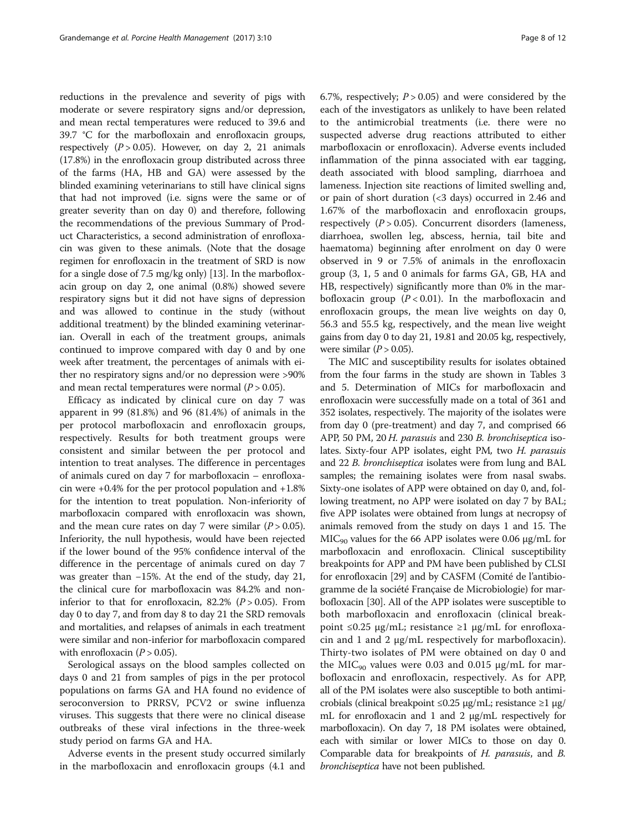reductions in the prevalence and severity of pigs with moderate or severe respiratory signs and/or depression, and mean rectal temperatures were reduced to 39.6 and 39.7 °C for the marbofloxain and enrofloxacin groups, respectively  $(P > 0.05)$ . However, on day 2, 21 animals (17.8%) in the enrofloxacin group distributed across three of the farms (HA, HB and GA) were assessed by the blinded examining veterinarians to still have clinical signs that had not improved (i.e. signs were the same or of greater severity than on day 0) and therefore, following the recommendations of the previous Summary of Product Characteristics, a second administration of enrofloxacin was given to these animals. (Note that the dosage regimen for enrofloxacin in the treatment of SRD is now for a single dose of 7.5 mg/kg only) [\[13](#page-10-0)]. In the marbofloxacin group on day 2, one animal (0.8%) showed severe respiratory signs but it did not have signs of depression and was allowed to continue in the study (without additional treatment) by the blinded examining veterinarian. Overall in each of the treatment groups, animals continued to improve compared with day 0 and by one week after treatment, the percentages of animals with either no respiratory signs and/or no depression were >90% and mean rectal temperatures were normal  $(P > 0.05)$ .

Efficacy as indicated by clinical cure on day 7 was apparent in 99 (81.8%) and 96 (81.4%) of animals in the per protocol marbofloxacin and enrofloxacin groups, respectively. Results for both treatment groups were consistent and similar between the per protocol and intention to treat analyses. The difference in percentages of animals cured on day 7 for marbofloxacin – enrofloxacin were  $+0.4\%$  for the per protocol population and  $+1.8\%$ for the intention to treat population. Non-inferiority of marbofloxacin compared with enrofloxacin was shown, and the mean cure rates on day 7 were similar  $(P > 0.05)$ . Inferiority, the null hypothesis, would have been rejected if the lower bound of the 95% confidence interval of the difference in the percentage of animals cured on day 7 was greater than −15%. At the end of the study, day 21, the clinical cure for marbofloxacin was 84.2% and noninferior to that for enrofloxacin,  $82.2\%$  ( $P > 0.05$ ). From day 0 to day 7, and from day 8 to day 21 the SRD removals and mortalities, and relapses of animals in each treatment were similar and non-inferior for marbofloxacin compared with enrofloxacin  $(P > 0.05)$ .

Serological assays on the blood samples collected on days 0 and 21 from samples of pigs in the per protocol populations on farms GA and HA found no evidence of seroconversion to PRRSV, PCV2 or swine influenza viruses. This suggests that there were no clinical disease outbreaks of these viral infections in the three-week study period on farms GA and HA.

Adverse events in the present study occurred similarly in the marbofloxacin and enrofloxacin groups (4.1 and 6.7%, respectively;  $P > 0.05$ ) and were considered by the each of the investigators as unlikely to have been related to the antimicrobial treatments (i.e. there were no suspected adverse drug reactions attributed to either marbofloxacin or enrofloxacin). Adverse events included inflammation of the pinna associated with ear tagging, death associated with blood sampling, diarrhoea and lameness. Injection site reactions of limited swelling and, or pain of short duration (<3 days) occurred in 2.46 and 1.67% of the marbofloxacin and enrofloxacin groups, respectively  $(P > 0.05)$ . Concurrent disorders (lameness, diarrhoea, swollen leg, abscess, hernia, tail bite and haematoma) beginning after enrolment on day 0 were observed in 9 or 7.5% of animals in the enrofloxacin group (3, 1, 5 and 0 animals for farms GA, GB, HA and HB, respectively) significantly more than 0% in the marbofloxacin group  $(P < 0.01)$ . In the marbofloxacin and enrofloxacin groups, the mean live weights on day 0, 56.3 and 55.5 kg, respectively, and the mean live weight gains from day 0 to day 21, 19.81 and 20.05 kg, respectively, were similar  $(P > 0.05)$ .

The MIC and susceptibility results for isolates obtained from the four farms in the study are shown in Tables [3](#page-4-0) and [5](#page-8-0). Determination of MICs for marbofloxacin and enrofloxacin were successfully made on a total of 361 and 352 isolates, respectively. The majority of the isolates were from day 0 (pre-treatment) and day 7, and comprised 66 APP, 50 PM, 20 H. parasuis and 230 B. bronchiseptica isolates. Sixty-four APP isolates, eight PM, two H. parasuis and 22 B. bronchiseptica isolates were from lung and BAL samples; the remaining isolates were from nasal swabs. Sixty-one isolates of APP were obtained on day 0, and, following treatment, no APP were isolated on day 7 by BAL; five APP isolates were obtained from lungs at necropsy of animals removed from the study on days 1 and 15. The  $MIC<sub>90</sub>$  values for the 66 APP isolates were 0.06  $\mu$ g/mL for marbofloxacin and enrofloxacin. Clinical susceptibility breakpoints for APP and PM have been published by CLSI for enrofloxacin [[29](#page-11-0)] and by CASFM (Comité de l'antibiogramme de la société Française de Microbiologie) for marbofloxacin [\[30\]](#page-11-0). All of the APP isolates were susceptible to both marbofloxacin and enrofloxacin (clinical breakpoint  $\leq 0.25$  μg/mL; resistance  $\geq 1$  μg/mL for enrofloxacin and 1 and 2 μg/mL respectively for marbofloxacin). Thirty-two isolates of PM were obtained on day 0 and the MIC<sub>90</sub> values were 0.03 and 0.015  $\mu$ g/mL for marbofloxacin and enrofloxacin, respectively. As for APP, all of the PM isolates were also susceptible to both antimicrobials (clinical breakpoint ≤0.25 μg/mL; resistance ≥1 μg/ mL for enrofloxacin and 1 and 2 μg/mL respectively for marbofloxacin). On day 7, 18 PM isolates were obtained, each with similar or lower MICs to those on day 0. Comparable data for breakpoints of H. parasuis, and B. bronchiseptica have not been published.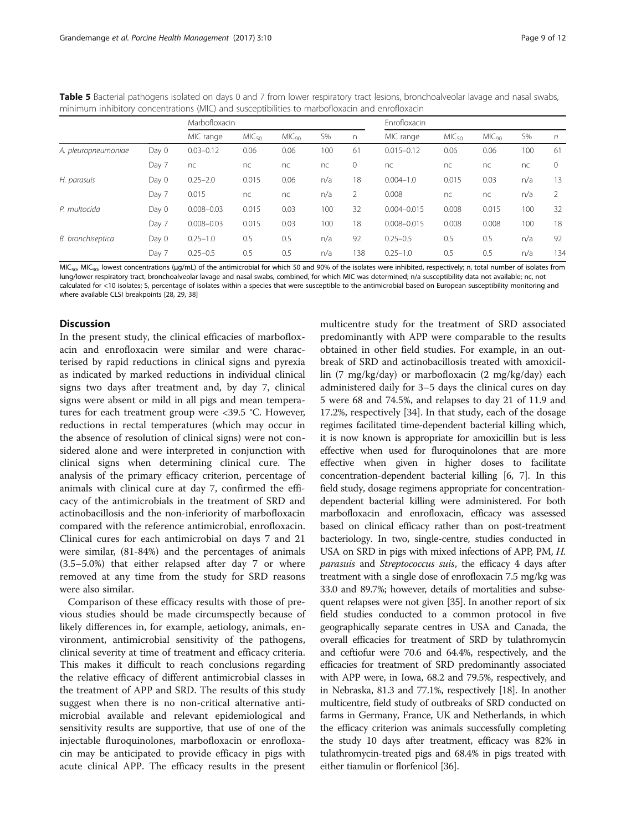<span id="page-8-0"></span>

| Table 5 Bacterial pathogens isolated on days 0 and 7 from lower respiratory tract lesions, bronchoalveolar lavage and nasal swabs, |
|------------------------------------------------------------------------------------------------------------------------------------|
| minimum inhibitory concentrations (MIC) and susceptibilities to marbofloxacin and enrofloxacin                                     |

|                     |       | Marbofloxacin  |                   |                   |       |     | <b>Enrofloxacin</b> |                   |                   |       |          |  |
|---------------------|-------|----------------|-------------------|-------------------|-------|-----|---------------------|-------------------|-------------------|-------|----------|--|
|                     |       | MIC range      | MIC <sub>50</sub> | MIC <sub>90</sub> | $S\%$ | n   | MIC range           | MIC <sub>50</sub> | MIC <sub>on</sub> | $S\%$ | n        |  |
| A. pleuropneumoniae | Day 0 | $0.03 - 0.12$  | 0.06              | 0.06              | 100   | 61  | $0.015 - 0.12$      | 0.06              | 0.06              | 100   | 61       |  |
|                     | Day 7 | nc             | nc                | nc                | nc    | 0   | nc                  | nc                | nc                | nc    | $\Omega$ |  |
| H. parasuis         | Day 0 | $0.25 - 2.0$   | 0.015             | 0.06              | n/a   | 18  | $0.004 - 1.0$       | 0.015             | 0.03              | n/a   | 13       |  |
|                     | Day 7 | 0.015          | nc                | nc                | n/a   | 2   | 0.008               | nc                | nc                | n/a   | 2        |  |
| P. multocida        | Day 0 | $0.008 - 0.03$ | 0.015             | 0.03              | 100   | 32  | $0.004 - 0.015$     | 0.008             | 0.015             | 100   | 32       |  |
|                     | Day 7 | $0.008 - 0.03$ | 0.015             | 0.03              | 100   | 18  | $0.008 - 0.015$     | 0.008             | 0.008             | 100   | 18       |  |
| B. bronchiseptica   | Day 0 | $0.25 - 1.0$   | 0.5               | 0.5               | n/a   | 92  | $0.25 - 0.5$        | 0.5               | 0.5               | n/a   | 92       |  |
|                     | Day 7 | $0.25 - 0.5$   | 0.5               | 0.5               | n/a   | 138 | $0.25 - 1.0$        | 0.5               | 0.5               | n/a   | 134      |  |

MIC<sub>50</sub>, MIC<sub>90</sub>, lowest concentrations (μg/mL) of the antimicrobial for which 50 and 90% of the isolates were inhibited, respectively; n, total number of isolates from lung/lower respiratory tract, bronchoalveolar lavage and nasal swabs, combined, for which MIC was determined; n/a susceptibility data not available; nc, not calculated for <10 isolates; S, percentage of isolates within a species that were susceptible to the antimicrobial based on European susceptibility monitoring and where available CLSI breakpoints [[28](#page-11-0), [29,](#page-11-0) [38](#page-11-0)]

## **Discussion**

In the present study, the clinical efficacies of marbofloxacin and enrofloxacin were similar and were characterised by rapid reductions in clinical signs and pyrexia as indicated by marked reductions in individual clinical signs two days after treatment and, by day 7, clinical signs were absent or mild in all pigs and mean temperatures for each treatment group were <39.5 °C. However, reductions in rectal temperatures (which may occur in the absence of resolution of clinical signs) were not considered alone and were interpreted in conjunction with clinical signs when determining clinical cure. The analysis of the primary efficacy criterion, percentage of animals with clinical cure at day 7, confirmed the efficacy of the antimicrobials in the treatment of SRD and actinobacillosis and the non-inferiority of marbofloxacin compared with the reference antimicrobial, enrofloxacin. Clinical cures for each antimicrobial on days 7 and 21 were similar, (81-84%) and the percentages of animals (3.5–5.0%) that either relapsed after day 7 or where removed at any time from the study for SRD reasons were also similar.

Comparison of these efficacy results with those of previous studies should be made circumspectly because of likely differences in, for example, aetiology, animals, environment, antimicrobial sensitivity of the pathogens, clinical severity at time of treatment and efficacy criteria. This makes it difficult to reach conclusions regarding the relative efficacy of different antimicrobial classes in the treatment of APP and SRD. The results of this study suggest when there is no non-critical alternative antimicrobial available and relevant epidemiological and sensitivity results are supportive, that use of one of the injectable fluroquinolones, marbofloxacin or enrofloxacin may be anticipated to provide efficacy in pigs with acute clinical APP. The efficacy results in the present

multicentre study for the treatment of SRD associated predominantly with APP were comparable to the results obtained in other field studies. For example, in an outbreak of SRD and actinobacillosis treated with amoxicillin (7 mg/kg/day) or marbofloxacin (2 mg/kg/day) each administered daily for 3–5 days the clinical cures on day 5 were 68 and 74.5%, and relapses to day 21 of 11.9 and 17.2%, respectively [\[34\]](#page-11-0). In that study, each of the dosage regimes facilitated time-dependent bacterial killing which, it is now known is appropriate for amoxicillin but is less effective when used for fluroquinolones that are more effective when given in higher doses to facilitate concentration-dependent bacterial killing [\[6, 7](#page-10-0)]. In this field study, dosage regimens appropriate for concentrationdependent bacterial killing were administered. For both marbofloxacin and enrofloxacin, efficacy was assessed based on clinical efficacy rather than on post-treatment bacteriology. In two, single-centre, studies conducted in USA on SRD in pigs with mixed infections of APP, PM, H. parasuis and Streptococcus suis, the efficacy 4 days after treatment with a single dose of enrofloxacin 7.5 mg/kg was 33.0 and 89.7%; however, details of mortalities and subsequent relapses were not given [\[35\]](#page-11-0). In another report of six field studies conducted to a common protocol in five geographically separate centres in USA and Canada, the overall efficacies for treatment of SRD by tulathromycin and ceftiofur were 70.6 and 64.4%, respectively, and the efficacies for treatment of SRD predominantly associated with APP were, in Iowa, 68.2 and 79.5%, respectively, and in Nebraska, 81.3 and 77.1%, respectively [\[18](#page-10-0)]. In another multicentre, field study of outbreaks of SRD conducted on farms in Germany, France, UK and Netherlands, in which the efficacy criterion was animals successfully completing the study 10 days after treatment, efficacy was 82% in tulathromycin-treated pigs and 68.4% in pigs treated with either tiamulin or florfenicol [\[36\]](#page-11-0).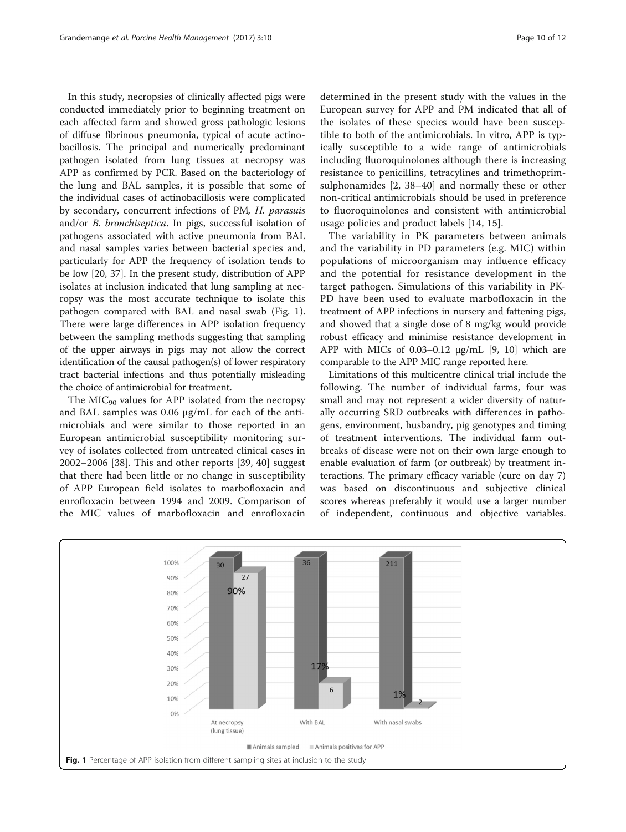In this study, necropsies of clinically affected pigs were conducted immediately prior to beginning treatment on each affected farm and showed gross pathologic lesions of diffuse fibrinous pneumonia, typical of acute actinobacillosis. The principal and numerically predominant pathogen isolated from lung tissues at necropsy was APP as confirmed by PCR. Based on the bacteriology of the lung and BAL samples, it is possible that some of the individual cases of actinobacillosis were complicated by secondary, concurrent infections of PM, H. parasuis and/or B. bronchiseptica. In pigs, successful isolation of pathogens associated with active pneumonia from BAL and nasal samples varies between bacterial species and, particularly for APP the frequency of isolation tends to be low [[20, 37\]](#page-11-0). In the present study, distribution of APP isolates at inclusion indicated that lung sampling at necropsy was the most accurate technique to isolate this pathogen compared with BAL and nasal swab (Fig. 1). There were large differences in APP isolation frequency between the sampling methods suggesting that sampling of the upper airways in pigs may not allow the correct identification of the causal pathogen(s) of lower respiratory tract bacterial infections and thus potentially misleading the choice of antimicrobial for treatment.

The  $MIC<sub>90</sub>$  values for APP isolated from the necropsy and BAL samples was 0.06 μg/mL for each of the antimicrobials and were similar to those reported in an European antimicrobial susceptibility monitoring survey of isolates collected from untreated clinical cases in 2002–2006 [[38](#page-11-0)]. This and other reports [[39, 40\]](#page-11-0) suggest that there had been little or no change in susceptibility of APP European field isolates to marbofloxacin and enrofloxacin between 1994 and 2009. Comparison of the MIC values of marbofloxacin and enrofloxacin determined in the present study with the values in the European survey for APP and PM indicated that all of the isolates of these species would have been susceptible to both of the antimicrobials. In vitro, APP is typically susceptible to a wide range of antimicrobials including fluoroquinolones although there is increasing resistance to penicillins, tetracylines and trimethoprimsulphonamides [\[2](#page-10-0), [38](#page-11-0)–[40](#page-11-0)] and normally these or other non-critical antimicrobials should be used in preference to fluoroquinolones and consistent with antimicrobial usage policies and product labels [\[14](#page-10-0), [15\]](#page-10-0).

The variability in PK parameters between animals and the variability in PD parameters (e.g. MIC) within populations of microorganism may influence efficacy and the potential for resistance development in the target pathogen. Simulations of this variability in PK-PD have been used to evaluate marbofloxacin in the treatment of APP infections in nursery and fattening pigs, and showed that a single dose of 8 mg/kg would provide robust efficacy and minimise resistance development in APP with MICs of  $0.03-0.12$   $\mu$ g/mL [\[9](#page-10-0), [10](#page-10-0)] which are comparable to the APP MIC range reported here.

Limitations of this multicentre clinical trial include the following. The number of individual farms, four was small and may not represent a wider diversity of naturally occurring SRD outbreaks with differences in pathogens, environment, husbandry, pig genotypes and timing of treatment interventions. The individual farm outbreaks of disease were not on their own large enough to enable evaluation of farm (or outbreak) by treatment interactions. The primary efficacy variable (cure on day 7) was based on discontinuous and subjective clinical scores whereas preferably it would use a larger number of independent, continuous and objective variables.

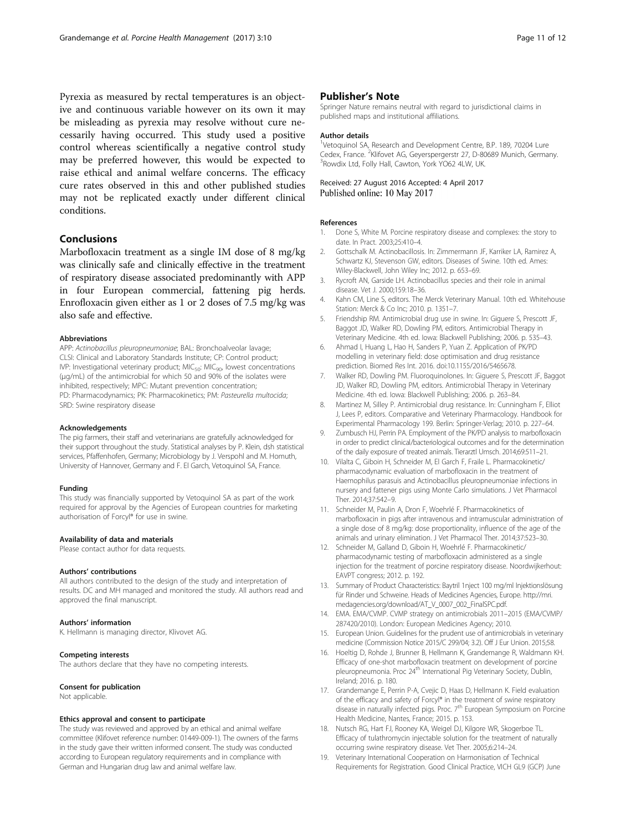<span id="page-10-0"></span>Pyrexia as measured by rectal temperatures is an objective and continuous variable however on its own it may be misleading as pyrexia may resolve without cure necessarily having occurred. This study used a positive control whereas scientifically a negative control study may be preferred however, this would be expected to raise ethical and animal welfare concerns. The efficacy cure rates observed in this and other published studies may not be replicated exactly under different clinical conditions.

## Conclusions

Marbofloxacin treatment as a single IM dose of 8 mg/kg was clinically safe and clinically effective in the treatment of respiratory disease associated predominantly with APP in four European commercial, fattening pig herds. Enrofloxacin given either as 1 or 2 doses of 7.5 mg/kg was also safe and effective.

#### Abbreviations

APP: Actinobacillus pleuropneumoniae; BAL: Bronchoalveolar lavage; CLSI: Clinical and Laboratory Standards Institute; CP: Control product; IVP: Investigational veterinary product;  $MIC_{50}$ :  $MIC_{90}$ , lowest concentrations (μg/mL) of the antimicrobial for which 50 and 90% of the isolates were inhibited, respectively; MPC: Mutant prevention concentration; PD: Pharmacodynamics; PK: Pharmacokinetics; PM: Pasteurella multocida; SRD: Swine respiratory disease

#### Acknowledgements

The pig farmers, their staff and veterinarians are gratefully acknowledged for their support throughout the study. Statistical analyses by P. Klein, dsh statistical services, Pfaffenhofen, Germany; Microbiology by J. Verspohl and M. Homuth, University of Hannover, Germany and F. El Garch, Vetoquinol SA, France.

#### Funding

This study was financially supported by Vetoquinol SA as part of the work required for approval by the Agencies of European countries for marketing authorisation of Forcyl® for use in swine.

#### Availability of data and materials

Please contact author for data requests.

#### Authors' contributions

All authors contributed to the design of the study and interpretation of results. DC and MH managed and monitored the study. All authors read and approved the final manuscript.

#### Authors' information

K. Hellmann is managing director, Klivovet AG.

#### Competing interests

The authors declare that they have no competing interests.

#### Consent for publication

Not applicable.

#### Ethics approval and consent to participate

The study was reviewed and approved by an ethical and animal welfare committee (Klifovet reference number: 01449-009-1). The owners of the farms in the study gave their written informed consent. The study was conducted according to European regulatory requirements and in compliance with German and Hungarian drug law and animal welfare law.

## Publisher's Note

Springer Nature remains neutral with regard to jurisdictional claims in published maps and institutional affiliations.

#### Author details

<sup>1</sup>Vetoquinol SA, Research and Development Centre, B.P. 189, 70204 Lure Cedex, France. <sup>2</sup>Klifovet AG, Geyerspergerstr 27, D-80689 Munich, Germany.<br><sup>3</sup>Bowdix Ltd. Folly Hall, Cawton, York YO62 4LW, LIK. <sup>3</sup>Rowdix Ltd, Folly Hall, Cawton, York YO62 4LW, UK.

### Received: 27 August 2016 Accepted: 4 April 2017 Published online: 10 May 2017

#### References

- 1. Done S, White M. Porcine respiratory disease and complexes: the story to date. In Pract. 2003;25:410–4.
- 2. Gottschalk M. Actinobacillosis. In: Zimmermann JF, Karriker LA, Ramirez A, Schwartz KJ, Stevenson GW, editors. Diseases of Swine. 10th ed. Ames: Wiley-Blackwell, John Wiley Inc; 2012. p. 653–69.
- 3. Rycroft AN, Garside LH. Actinobacillus species and their role in animal disease. Vet J. 2000;159:18–36.
- 4. Kahn CM, Line S, editors. The Merck Veterinary Manual. 10th ed. Whitehouse Station: Merck & Co Inc; 2010. p. 1351–7.
- 5. Friendship RM. Antimicrobial drug use in swine. In: Giguere S, Prescott JF, Baggot JD, Walker RD, Dowling PM, editors. Antimicrobial Therapy in Veterinary Medicine. 4th ed. Iowa: Blackwell Publishing; 2006. p. 535–43.
- 6. Ahmad I, Huang L, Hao H, Sanders P, Yuan Z. Application of PK/PD modelling in veterinary field: dose optimisation and drug resistance prediction. Biomed Res Int. 2016. doi:[10.1155/2016/5465678.](http://dx.doi.org/10.1155/2016/5465678)
- 7. Walker RD, Dowling PM. Fluoroquinolones. In: Giguere S, Prescott JF, Baggot JD, Walker RD, Dowling PM, editors. Antimicrobial Therapy in Veterinary Medicine. 4th ed. Iowa: Blackwell Publishing; 2006. p. 263–84.
- 8. Martinez M, Silley P. Antimicrobial drug resistance. In: Cunningham F, Elliot J, Lees P, editors. Comparative and Veterinary Pharmacology. Handbook for Experimental Pharmacology 199. Berlin: Springer-Verlag; 2010. p. 227–64.
- 9. Zumbusch HJ, Perrin PA. Employment of the PK/PD analysis to marbofloxacin in order to predict clinical/bacteriological outcomes and for the determination of the daily exposure of treated animals. Tierarztl Umsch. 2014;69:511–21.
- 10. Vilalta C, Giboin H, Schneider M, El Garch F, Fraile L. Pharmacokinetic/ pharmacodynamic evaluation of marbofloxacin in the treatment of Haemophilus parasuis and Actinobacillus pleuropneumoniae infections in nursery and fattener pigs using Monte Carlo simulations. J Vet Pharmacol Ther. 2014;37:542–9.
- 11. Schneider M, Paulin A, Dron F, Woehrlé F. Pharmacokinetics of marbofloxacin in pigs after intravenous and intramuscular administration of a single dose of 8 mg/kg: dose proportionality, influence of the age of the animals and urinary elimination. J Vet Pharmacol Ther. 2014;37:523–30.
- 12. Schneider M, Galland D, Giboin H, Woehrlé F. Pharmacokinetic/ pharmacodynamic testing of marbofloxacin administered as a single injection for the treatment of porcine respiratory disease. Noordwijkerhout: EAVPT congress; 2012. p. 192.
- 13. Summary of Product Characteristics: Baytril 1nject 100 mg/ml Injektionslösung für Rinder und Schweine. Heads of Medicines Agencies, Europe. [http://mri.](http://mri.medagencies.org/download/AT_V_0007_002_FinalSPC.pdf) [medagencies.org/download/AT\\_V\\_0007\\_002\\_FinalSPC.pdf.](http://mri.medagencies.org/download/AT_V_0007_002_FinalSPC.pdf)
- 14. EMA. EMA/CVMP. CVMP strategy on antimicrobials 2011–2015 (EMA/CVMP/ 287420/2010). London: European Medicines Agency; 2010.
- 15. European Union. Guidelines for the prudent use of antimicrobials in veterinary medicine (Commission Notice 2015/C 299/04; 3.2). Off J Eur Union. 2015;58.
- 16. Hoeltig D, Rohde J, Brunner B, Hellmann K, Grandemange R, Waldmann KH. Efficacy of one-shot marbofloxacin treatment on development of porcine pleuropneumonia. Proc 24<sup>th</sup> International Pig Veterinary Society, Dublin, Ireland; 2016. p. 180.
- 17. Grandemange E, Perrin P-A, Cvejic D, Haas D, Hellmann K. Field evaluation of the efficacy and safety of Forcyl® in the treatment of swine respiratory disease in naturally infected pigs. Proc. 7<sup>th</sup> European Symposium on Porcine Health Medicine, Nantes, France; 2015. p. 153.
- 18. Nutsch RG, Hart FJ, Rooney KA, Weigel DJ, Kilgore WR, Skogerboe TL. Efficacy of tulathromycin injectable solution for the treatment of naturally occurring swine respiratory disease. Vet Ther. 2005;6:214–24.
- 19. Veterinary International Cooperation on Harmonisation of Technical Requirements for Registration. Good Clinical Practice, VICH GL9 (GCP) June